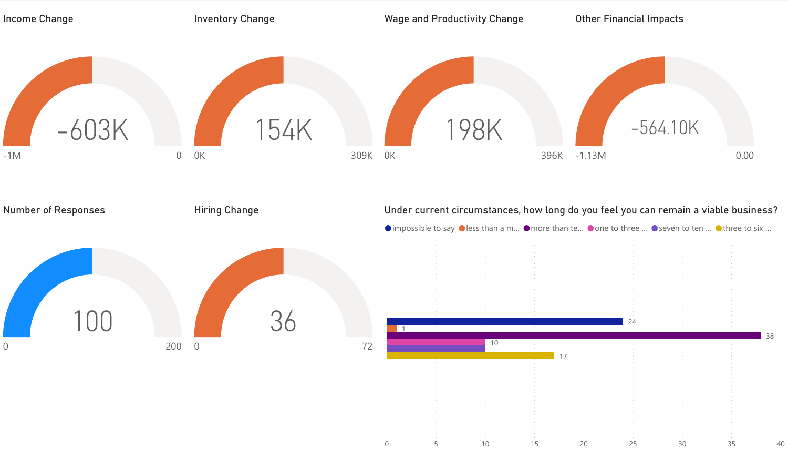